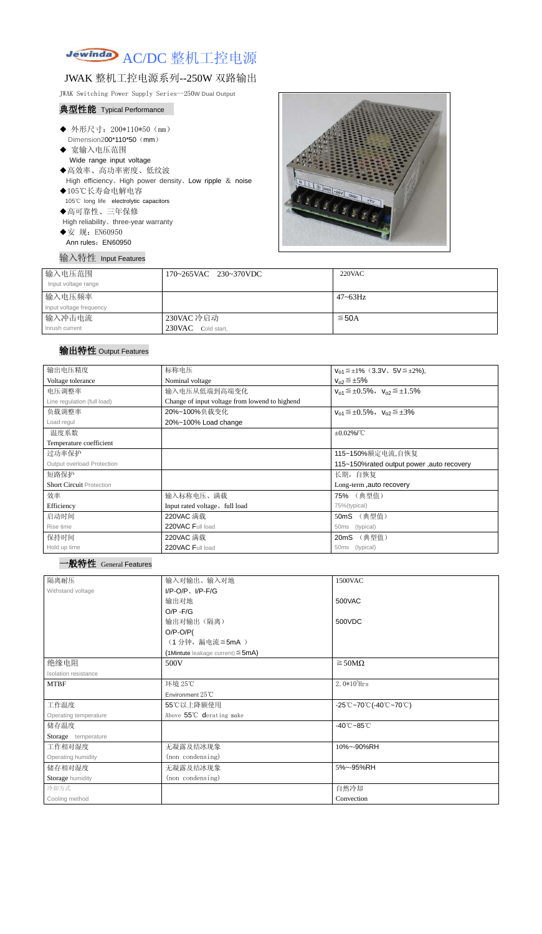

# JWAK 整机工控电源系列--250W 双路输出

JWAK Switching Power Supply Series--250**W Dual Output**

#### 典型性能 Typical Performance

- ◆ 外形尺寸: 200\*110\*50 (mm) Dimension200\*110\*50 (mm)
- ◆ 宽输入电压范围 Wide range input voltage ◆高效率、高功率密度、低纹波 High efficiency、High power density、Low ripple & noise
- ◆105℃长寿命电解电容 105℃ long life electrolytic capacitors ◆高可靠性、三年保修
- High reliability、three-year warranty
- ◆安 规: EN60950
- Ann rules: EN60950

输入特性 Input Features



| 输入电压范围                  | 170~265VAC 230~370VDC | $220$ VAC    |
|-------------------------|-----------------------|--------------|
| Input voltage range     |                       |              |
| 输入电压频率                  |                       | $47 - 63$ Hz |
| Input voltage frequency |                       |              |
| 输入冲击电流                  | 230VAC 冷启动            | $\leq$ 50A   |
| Inrush current          | 230VAC Cold start,    |              |

## 输出特性 Output Features

#### 一般特性 General Features

| 输出电压精度                          | 标称电压                                           | $V_{01} \leq \pm 1\%$ (3.3V, 5V $\leq \pm 2\%$ ), |  |
|---------------------------------|------------------------------------------------|---------------------------------------------------|--|
| Voltage tolerance               | Nominal voltage                                | $V_{02} \leq \pm 5\%$                             |  |
| 电压调整率                           | 输入电压从低端到高端变化                                   | $V_{01} \leq \pm 0.5\%$ , $V_{02} \leq \pm 1.5\%$ |  |
| Line regulation (full load)     | Change of input voltage from lowend to highend |                                                   |  |
| 负载调整率                           | 20%~100%负载变化                                   | $V_{01} \leq \pm 0.5\%$ , $V_{02} \leq \pm 3\%$   |  |
| Load regul                      | 20%~100% Load change                           |                                                   |  |
| 温度系数                            |                                                | $±0.02\%$ /°C                                     |  |
| Temperature coefficient         |                                                |                                                   |  |
| 过功率保护                           | 115~150%额定电流,自恢复                               |                                                   |  |
| Output overload Protection      |                                                | 115~150% rated output power, auto recovery        |  |
| 短路保护                            |                                                | 长期, 自恢复                                           |  |
| <b>Short Circuit Protection</b> |                                                | Long-term, auto recovery                          |  |
| 效率                              | 输入标称电压、满载                                      | 75% (典型值)                                         |  |
| Efficiency                      | Input rated voltage, full load                 | 75%(typical)                                      |  |
| 启动时间                            | 220VAC 满载                                      | 50mS (典型值)                                        |  |
| Rise time                       | 220VAC Full load                               | (typical)<br>50ms                                 |  |
| 保持时间                            | 220VAC 满载                                      | (典型值)<br>20mS                                     |  |
| Hold up time                    | 220VAC Full load                               | (typical)<br>50ms                                 |  |

| 隔离耐压                  | 输入对输出、输入对地<br>1500VAC                     |                                                                                       |  |
|-----------------------|-------------------------------------------|---------------------------------------------------------------------------------------|--|
| Withstand voltage     | $I/P$ -O/P、 $I/P$ -F/G                    |                                                                                       |  |
|                       | 输出对地                                      | 500VAC                                                                                |  |
|                       | $O/P - F/G$                               |                                                                                       |  |
|                       | 输出对输出(隔离)                                 | 500VDC                                                                                |  |
|                       | $O/P-O/P($                                |                                                                                       |  |
|                       | (1分钟,漏电流≦5mA)                             |                                                                                       |  |
|                       | $(1$ Mintute leakage current) $\leq$ 5mA) |                                                                                       |  |
| 绝缘电阻                  | 500V                                      | $\geq$ 50M $\Omega$                                                                   |  |
| Isolation resistance  |                                           |                                                                                       |  |
| <b>MTBF</b>           | 环境 25℃                                    | $2.0*105$ Hrs                                                                         |  |
|                       | Environment 25°C                          |                                                                                       |  |
| 工作温度                  | 55℃以上降额使用                                 | $-25^{\circ}\text{C}-70^{\circ}\text{C}$ (-40 $^{\circ}\text{C}-70^{\circ}\text{C}$ ) |  |
| Operating temperature | Above 55°C derating make                  |                                                                                       |  |
| 储存温度                  |                                           | $-40^{\circ}$ C $-85^{\circ}$ C                                                       |  |
| Storage temperature   |                                           |                                                                                       |  |
| 工作相对湿度                | 无凝露及结冰现象                                  | 10%~-90%RH                                                                            |  |
| Operating humidity    | (non condensing)                          |                                                                                       |  |
| 储存相对湿度                | 无凝露及结冰现象                                  | 5%~-95%RH                                                                             |  |
| Storage humidity      | (non condensing)                          |                                                                                       |  |
| 冷却方式                  |                                           | 自然冷却                                                                                  |  |
| Cooling method        |                                           | Convection                                                                            |  |